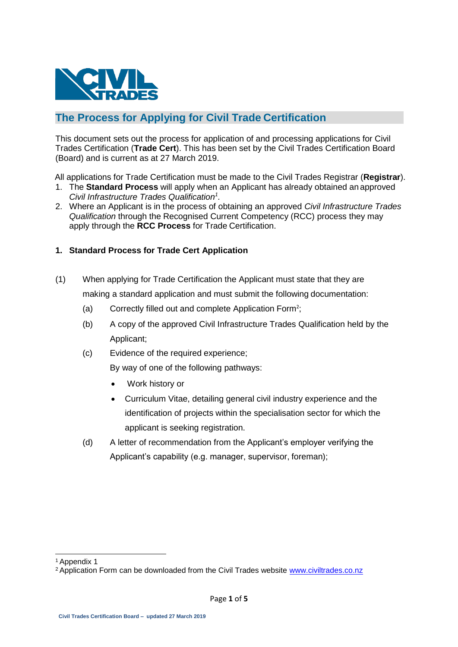

## **The Process for Applying for Civil Trade Certification**

This document sets out the process for application of and processing applications for Civil Trades Certification (**Trade Cert**). This has been set by the Civil Trades Certification Board (Board) and is current as at 27 March 2019.

All applications for Trade Certification must be made to the Civil Trades Registrar (**Registrar**).

- 1. The **Standard Process** will apply when an Applicant has already obtained an approved *Civil Infrastructure Trades Qualificatio[n](#page-0-0)<sup>1</sup> .*
- 2. Where an Applicant is in the process of obtaining an approved *Civil Infrastructure Trades Qualification* through the Recognised Current Competency (RCC) process they may apply through the **RCC Process** for Trade Certification.

## **1. Standard Process for Trade Cert Application**

- (1) When applying for Trade Certification the Applicant must state that they are making a standard application and must submit the following documentation:
	- (a) Correctly filled out and co[m](#page-0-1)plete Application Form<sup>2</sup>;
	- (b) A copy of the approved Civil Infrastructure Trades Qualification held by the Applicant;
	- (c) Evidence of the required experience;

By way of one of the following pathways:

- Work history or
- Curriculum Vitae, detailing general civil industry experience and the identification of projects within the specialisation sector for which the applicant is seeking registration.
- (d) A letter of recommendation from the Applicant's employer verifying the Applicant's capability (e.g. manager, supervisor, foreman);

<span id="page-0-0"></span><sup>&</sup>lt;sup>1</sup> Appendix 1

<span id="page-0-1"></span><sup>&</sup>lt;sup>2</sup> Application Form can be downloaded from the Civil Trades website [www.civiltrades.co.nz](http://www.civiltrades.co.nz/)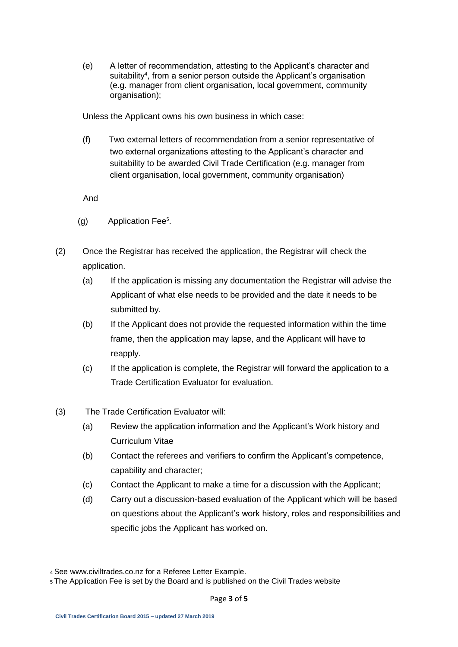(e) A letter of recommendation, attesting to the Applicant's character and suitability<sup>4</sup> [,](#page-6-0) from a senior person outside the Applicant's organisation (e.g. manager from client organisation, local government, community organisation);

Unless the Applicant owns his own business in which case:

(f) Two external letters of recommendation from a senior representative of two external organizations attesting to the Applicant's character and suitability to be awarded Civil Trade Certification (e.g. manager from client organisation, local government, community organisation)

And

- (g) Application Fe[e](#page-6-0)<sup>5</sup> .
- (2) Once the Registrar has received the application, the Registrar will check the application.
	- (a) If the application is missing any documentation the Registrar will advise the Applicant of what else needs to be provided and the date it needs to be submitted by.
	- (b) If the Applicant does not provide the requested information within the time frame, then the application may lapse, and the Applicant will have to reapply.
	- (c) If the application is complete, the Registrar will forward the application to a Trade Certification Evaluator for evaluation.
- (3) The Trade Certification Evaluator will:
	- (a) Review the application information and the Applicant's Work history and Curriculum Vitae
	- (b) Contact the referees and verifiers to confirm the Applicant's competence, capability and character;
	- (c) Contact the Applicant to make a time for a discussion with the Applicant;
	- (d) Carry out a discussion-based evaluation of the Applicant which will be based on questions about the Applicant's work history, roles and responsibilities and specific jobs the Applicant has worked on.

<sup>4</sup>See www.civiltrades.co.nz for a Referee Letter Example.

<sup>5</sup> The Application Fee is set by the Board and is published on the Civil Trades website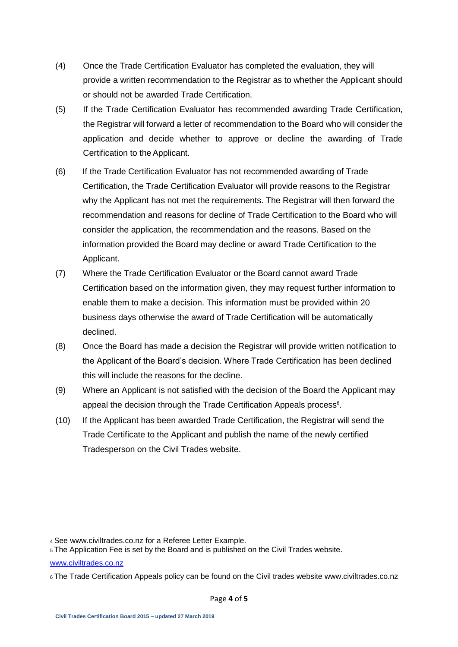- (4) Once the Trade Certification Evaluator has completed the evaluation, they will provide a written recommendation to the Registrar as to whether the Applicant should or should not be awarded Trade Certification.
- (5) If the Trade Certification Evaluator has recommended awarding Trade Certification, the Registrar will forward a letter of recommendation to the Board who will consider the application and decide whether to approve or decline the awarding of Trade Certification to the Applicant.
- (6) If the Trade Certification Evaluator has not recommended awarding of Trade Certification, the Trade Certification Evaluator will provide reasons to the Registrar why the Applicant has not met the requirements. The Registrar will then forward the recommendation and reasons for decline of Trade Certification to the Board who will consider the application, the recommendation and the reasons. Based on the information provided the Board may decline or award Trade Certification to the Applicant.
- (7) Where the Trade Certification Evaluator or the Board cannot award Trade Certification based on the information given, they may request further information to enable them to make a decision. This information must be provided within 20 business days otherwise the award of Trade Certification will be automatically declined.
- (8) Once the Board has made a decision the Registrar will provide written notification to the Applicant of the Board's decision. Where Trade Certification has been declined this will include the reasons for the decline.
- (9) Where an Applicant is not satisfied with the decision of the Board the Applicant may appeal the decision through the Trade Certification Appeals process $<sup>6</sup>$ [.](#page-6-0)</sup>
- (10) If the Applicant has been awarded Trade Certification, the Registrar will send the Trade Certificate to the Applicant and publish the name of the newly certified Tradesperson on the Civil Trades website.

<sup>5</sup>The Application Fee is set by the Board and is published on the Civil Trades website.

[www.civiltrades.co.nz](http://www.civiltrades.co.nz/)

<sup>4</sup>See www.civiltrades.co.nz for a Referee Letter Example.

<sup>6</sup>The Trade Certification Appeals policy can be found on the Civil trades website www.civiltrades.co.nz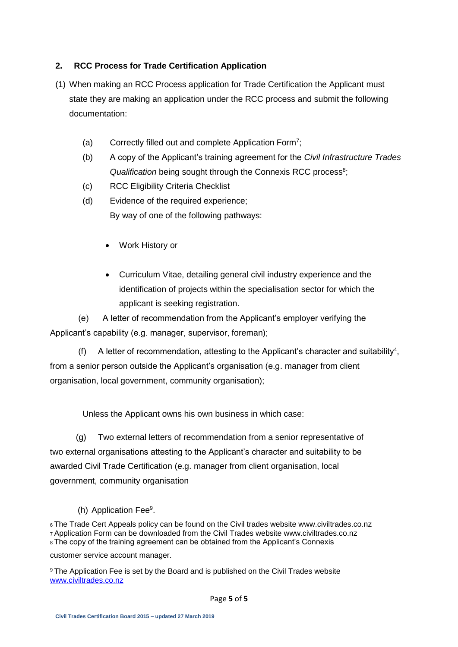## **2. RCC Process for Trade Certification Application**

- (1) When making an RCC Process application for Trade Certification the Applicant must state they are making an application under the RCC process and submit the following documentation:
	- (a) Correctly filled out and complete Application Form<sup>[7](#page-6-0)</sup>;
	- (b) A copy of the Applicant's training agreement for the *Civil Infrastructure Trades*  Qualification being [s](#page-6-0)ought through the Connexis RCC process<sup>8</sup>;
	- (c) RCC Eligibility Criteria Checklist
	- (d) Evidence of the required experience; By way of one of the following pathways:
		- Work History or
		- Curriculum Vitae, detailing general civil industry experience and the identification of projects within the specialisation sector for which the applicant is seeking registration.

 (e) A letter of recommendation from the Applicant's employer verifying the Applicant's capability (e.g. manager, supervisor, foreman);

(f) A letter of recommendation, attesting to the Applicant's character and suitabilit[y](#page-6-0)<sup>4</sup>, from a senior person outside the Applicant's organisation (e.g. manager from client organisation, local government, community organisation);

Unless the Applicant owns his own business in which case:

 (g) Two external letters of recommendation from a senior representative of two external organisations attesting to the Applicant's character and suitability to be awarded Civil Trade Certification (e.g. manager from client organisation, local government, community organisation

(h) Application Fee<sup>[9](#page-6-0)</sup>.

<sup>6</sup>The Trade Cert Appeals policy can be found on the Civil trades website www.civiltrades.co.nz <sup>7</sup>Application Form can be downloaded from the Civil Trades website www.civiltrades.co.nz 8 The copy of the training agreement can be obtained from the Applicant's Connexis

customer service account manager.

<sup>9</sup>The Application Fee is set by the Board and is published on the Civil Trades website [www.civiltrades.co.nz](http://www.civiltrades.co.nz/)

Page **5** of **5**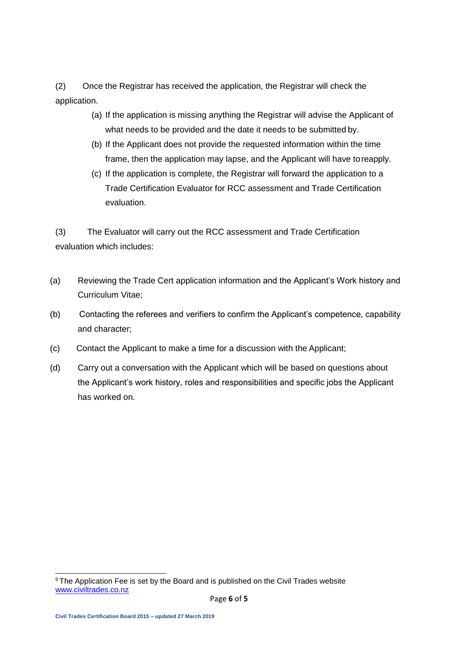(2) Once the Registrar has received the application, the Registrar will check the application.

- (a) If the application is missing anything the Registrar will advise the Applicant of what needs to be provided and the date it needs to be submitted by.
- (b) If the Applicant does not provide the requested information within the time frame, then the application may lapse, and the Applicant will have toreapply.
- (c) If the application is complete, the Registrar will forward the application to a Trade Certification Evaluator for RCC assessment and Trade Certification evaluation.

(3) The Evaluator will carry out the RCC assessment and Trade Certification evaluation which includes:

- (a) Reviewing the Trade Cert application information and the Applicant's Work history and Curriculum Vitae;
- (b) Contacting the referees and verifiers to confirm the Applicant's competence, capability and character;
- (c) Contact the Applicant to make a time for a discussion with the Applicant;
- (d) Carry out a conversation with the Applicant which will be based on questions about the Applicant's work history, roles and responsibilities and specific jobs the Applicant has worked on.

<sup>9</sup>The Application Fee is set by the Board and is published on the Civil Trades website [www.civiltrades.co.nz](http://www.civiltrades.co.nz/)